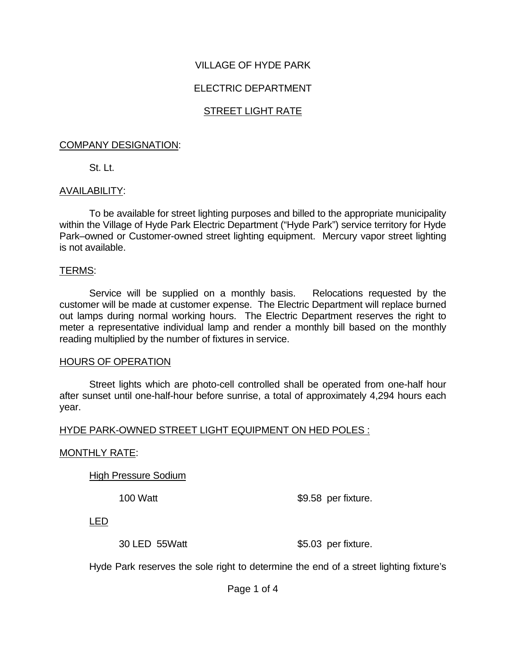# VILLAGE OF HYDE PARK

# ELECTRIC DEPARTMENT

# STREET LIGHT RATE

#### COMPANY DESIGNATION:

St. Lt.

# AVAILABILITY:

To be available for street lighting purposes and billed to the appropriate municipality within the Village of Hyde Park Electric Department ("Hyde Park") service territory for Hyde Park–owned or Customer-owned street lighting equipment. Mercury vapor street lighting is not available.

#### TERMS:

Service will be supplied on a monthly basis. Relocations requested by the customer will be made at customer expense. The Electric Department will replace burned out lamps during normal working hours. The Electric Department reserves the right to meter a representative individual lamp and render a monthly bill based on the monthly reading multiplied by the number of fixtures in service.

# HOURS OF OPERATION

Street lights which are photo-cell controlled shall be operated from one-half hour after sunset until one-half-hour before sunrise, a total of approximately 4,294 hours each year.

# HYDE PARK-OWNED STREET LIGHT EQUIPMENT ON HED POLES :

# MONTHLY RATE:

High Pressure Sodium

100 Watt \$9.58 per fixture.

LED

30 LED 55 Watt \$5.03 per fixture.

Hyde Park reserves the sole right to determine the end of a street lighting fixture's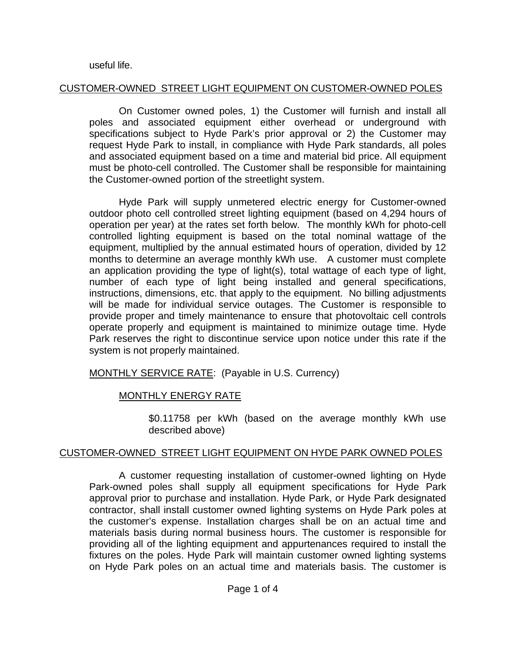#### useful life.

# CUSTOMER-OWNED STREET LIGHT EQUIPMENT ON CUSTOMER-OWNED POLES

On Customer owned poles, 1) the Customer will furnish and install all poles and associated equipment either overhead or underground with specifications subject to Hyde Park's prior approval or 2) the Customer may request Hyde Park to install, in compliance with Hyde Park standards, all poles and associated equipment based on a time and material bid price. All equipment must be photo-cell controlled. The Customer shall be responsible for maintaining the Customer-owned portion of the streetlight system.

Hyde Park will supply unmetered electric energy for Customer-owned outdoor photo cell controlled street lighting equipment (based on 4,294 hours of operation per year) at the rates set forth below. The monthly kWh for photo-cell controlled lighting equipment is based on the total nominal wattage of the equipment, multiplied by the annual estimated hours of operation, divided by 12 months to determine an average monthly kWh use. A customer must complete an application providing the type of light(s), total wattage of each type of light, number of each type of light being installed and general specifications, instructions, dimensions, etc. that apply to the equipment. No billing adjustments will be made for individual service outages. The Customer is responsible to provide proper and timely maintenance to ensure that photovoltaic cell controls operate properly and equipment is maintained to minimize outage time. Hyde Park reserves the right to discontinue service upon notice under this rate if the system is not properly maintained.

# MONTHLY SERVICE RATE: (Payable in U.S. Currency)

# MONTHLY ENERGY RATE

\$0.11758 per kWh (based on the average monthly kWh use described above)

# CUSTOMER-OWNED STREET LIGHT EQUIPMENT ON HYDE PARK OWNED POLES

A customer requesting installation of customer-owned lighting on Hyde Park-owned poles shall supply all equipment specifications for Hyde Park approval prior to purchase and installation. Hyde Park, or Hyde Park designated contractor, shall install customer owned lighting systems on Hyde Park poles at the customer's expense. Installation charges shall be on an actual time and materials basis during normal business hours. The customer is responsible for providing all of the lighting equipment and appurtenances required to install the fixtures on the poles. Hyde Park will maintain customer owned lighting systems on Hyde Park poles on an actual time and materials basis. The customer is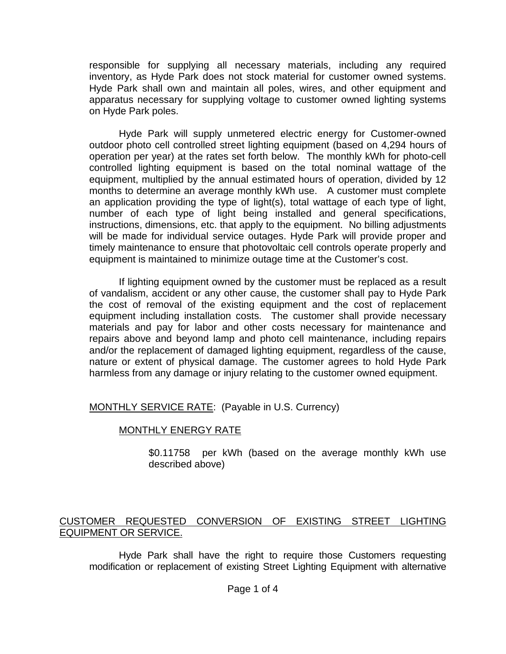responsible for supplying all necessary materials, including any required inventory, as Hyde Park does not stock material for customer owned systems. Hyde Park shall own and maintain all poles, wires, and other equipment and apparatus necessary for supplying voltage to customer owned lighting systems on Hyde Park poles.

Hyde Park will supply unmetered electric energy for Customer-owned outdoor photo cell controlled street lighting equipment (based on 4,294 hours of operation per year) at the rates set forth below. The monthly kWh for photo-cell controlled lighting equipment is based on the total nominal wattage of the equipment, multiplied by the annual estimated hours of operation, divided by 12 months to determine an average monthly kWh use. A customer must complete an application providing the type of light(s), total wattage of each type of light, number of each type of light being installed and general specifications, instructions, dimensions, etc. that apply to the equipment. No billing adjustments will be made for individual service outages. Hyde Park will provide proper and timely maintenance to ensure that photovoltaic cell controls operate properly and equipment is maintained to minimize outage time at the Customer's cost.

If lighting equipment owned by the customer must be replaced as a result of vandalism, accident or any other cause, the customer shall pay to Hyde Park the cost of removal of the existing equipment and the cost of replacement equipment including installation costs. The customer shall provide necessary materials and pay for labor and other costs necessary for maintenance and repairs above and beyond lamp and photo cell maintenance, including repairs and/or the replacement of damaged lighting equipment, regardless of the cause, nature or extent of physical damage. The customer agrees to hold Hyde Park harmless from any damage or injury relating to the customer owned equipment.

MONTHLY SERVICE RATE: (Payable in U.S. Currency)

# MONTHLY ENERGY RATE

\$0.11758 per kWh (based on the average monthly kWh use described above)

# CUSTOMER REQUESTED CONVERSION OF EXISTING STREET LIGHTING EQUIPMENT OR SERVICE.

Hyde Park shall have the right to require those Customers requesting modification or replacement of existing Street Lighting Equipment with alternative